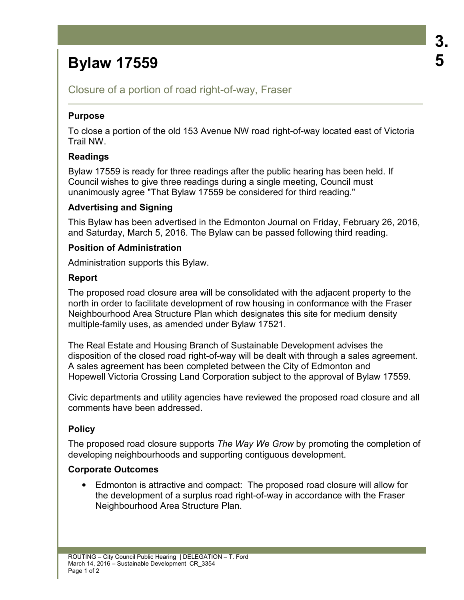# **Bylaw 17559**

Closure of a portion of road right-of-way, Fraser

## **Purpose**

To close a portion of the old 153 Avenue NW road right-of-way located east of Victoria Trail NW.

# **Readings**

Bylaw 17559 is ready for three readings after the public hearing has been held. If Council wishes to give three readings during a single meeting, Council must unanimously agree "That Bylaw 17559 be considered for third reading."

# **Advertising and Signing**

This Bylaw has been advertised in the Edmonton Journal on Friday, February 26, 2016, and Saturday, March 5, 2016. The Bylaw can be passed following third reading.

## **Position of Administration**

Administration supports this Bylaw.

## **Report**

The proposed road closure area will be consolidated with the adjacent property to the north in order to facilitate development of row housing in conformance with the Fraser Neighbourhood Area Structure Plan which designates this site for medium density multiple-family uses, as amended under Bylaw 17521.

The Real Estate and Housing Branch of Sustainable Development advises the disposition of the closed road right-of-way will be dealt with through a sales agreement. A sales agreement has been completed between the City of Edmonton and Hopewell Victoria Crossing Land Corporation subject to the approval of Bylaw 17559.

Civic departments and utility agencies have reviewed the proposed road closure and all comments have been addressed.

# **Policy**

The proposed road closure supports *The Way We Grow* by promoting the completion of developing neighbourhoods and supporting contiguous development.

#### **Corporate Outcomes**

• Edmonton is attractive and compact: The proposed road closure will allow for the development of a surplus road right-of-way in accordance with the Fraser Neighbourhood Area Structure Plan.